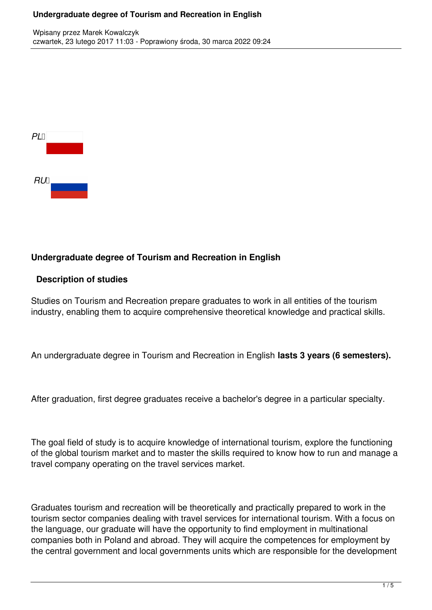#### **Undergraduate degree of Tourism and Recreation in English**

| PL |  |  |
|----|--|--|
|    |  |  |
|    |  |  |
| RU |  |  |

#### **Undergraduate degree of Tourism and Recreation in English**

# **Description of studies**

Studies on Tourism and Recreation prepare graduates to work in all entities of the tourism industry, enabling them to acquire comprehensive theoretical knowledge and practical skills.

An undergraduate degree in Tourism and Recreation in English **lasts 3 years (6 semesters).**

After graduation, first degree graduates receive a bachelor's degree in a particular specialty.

The goal field of study is to acquire knowledge of international tourism, explore the functioning of the global tourism market and to master the skills required to know how to run and manage a travel company operating on the travel services market.

Graduates tourism and recreation will be theoretically and practically prepared to work in the tourism sector companies dealing with travel services for international tourism. With a focus on the language, our graduate will have the opportunity to find employment in multinational companies both in Poland and abroad. They will acquire the competences for employment by the central government and local governments units which are responsible for the development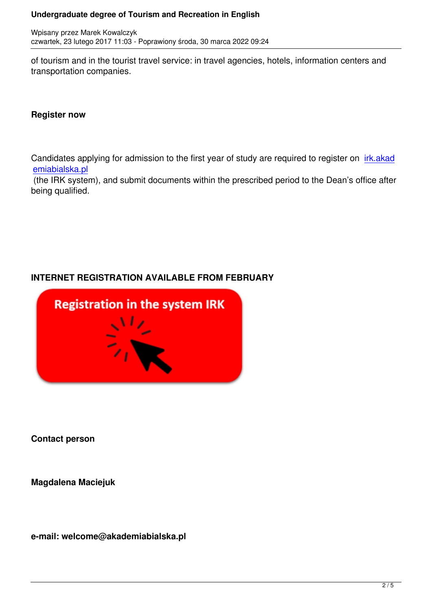of tourism and in the tourist travel service: in travel agencies, hotels, information centers and transportation companies.

#### **Register now**

Candidates applying for admission to the first year of study are required to register on irk.akad emiabialska.pl

 (the IRK system), and submit documents within the prescribed period to the Dean's office after being qualified.

# **INTERNET REGISTRATION AVAILABLE FROM FEBRUARY**



**Contact person**

**Magdalena Maciejuk**

**e-mail: welcome@akademiabialska.pl**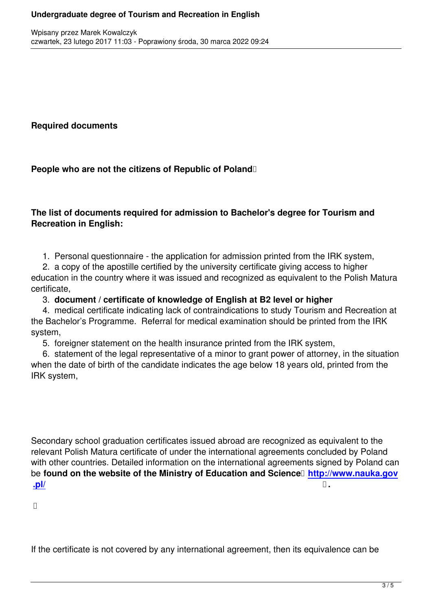**Required documents**

People who are not the citizens of Republic of Poland<sup>[]</sup>

**The list of documents required for admission to Bachelor's degree for Tourism and Recreation in English:**

1. Personal questionnaire - the application for admission printed from the IRK system,

 2. a copy of the apostille certified by the university certificate giving access to higher education in the country where it was issued and recognized as equivalent to the Polish Matura certificate,

# 3. **document / certificate of knowledge of English at B2 level or higher**

 4. medical certificate indicating lack of contraindications to study Tourism and Recreation at the Bachelor's Programme. Referral for medical examination should be printed from the IRK system,

5. foreigner statement on the health insurance printed from the IRK system,

 6. statement of the legal representative of a minor to grant power of attorney, in the situation when the date of birth of the candidate indicates the age below 18 years old, printed from the IRK system,

Secondary school graduation certificates issued abroad are recognized as equivalent to the relevant Polish Matura certificate of under the international agreements concluded by Poland with other countries. Detailed information on the international agreements signed by Poland can be **found on the website of the Ministry of Education and Science <b>http://www.nauka.gov .pl/ .**

If the certificate is not covered by any international agreement, then its equivalence can be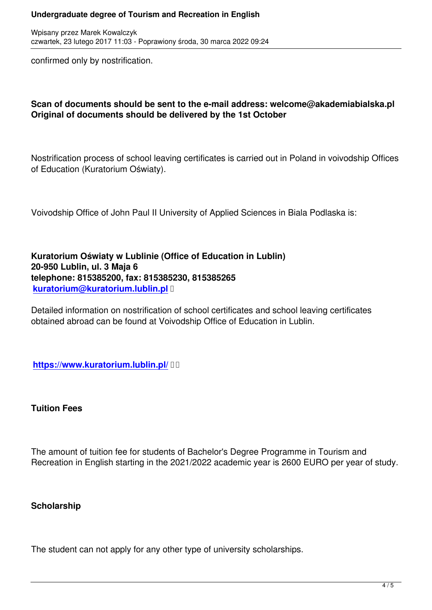confirmed only by nostrification.

## **Scan of documents should be sent to the e-mail address: welcome@akademiabialska.pl Original of documents should be delivered by the 1st October**

Nostrification process of school leaving certificates is carried out in Poland in voivodship Offices of Education (Kuratorium Oświaty).

Voivodship Office of John Paul II University of Applied Sciences in Biala Podlaska is:

**Kuratorium Oświaty w Lublinie (Office of Education in Lublin) 20-950 Lublin, ul. 3 Maja 6 telephone: 815385200, fax: 815385230, 815385265 kuratorium@kuratorium.lublin.pl** 

Detailed information on nostrification of school certificates and school leaving certificates [obtained abroad can be found at Vo](mailto:kuratorium@kuratorium.lublin.pl)ivodship Office of Education in Lublin.

**https://www.kuratorium.lublin.pl/** 

**[Tuition Fees](https://www.kuratorium.lublin.pl/)**

The amount of tuition fee for students of Bachelor's Degree Programme in Tourism and Recreation in English starting in the 2021/2022 academic year is 2600 EURO per year of study.

#### **Scholarship**

The student can not apply for any other type of university scholarships.